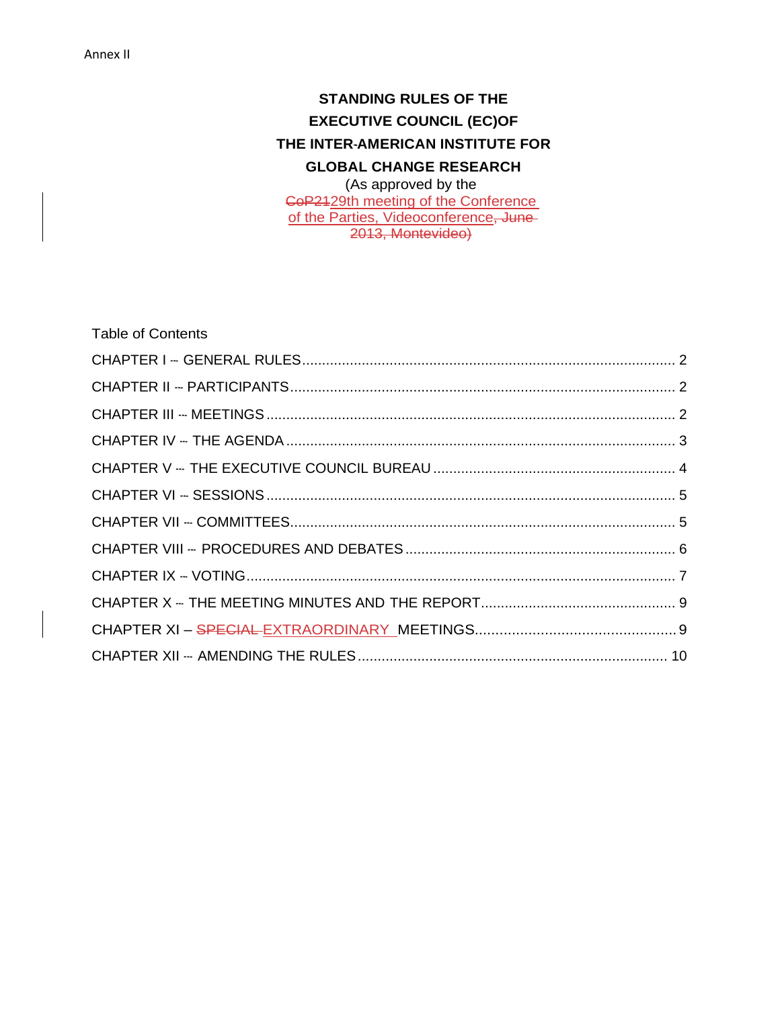# **STANDING RULES OF THE EXECUTIVE COUNCIL (EC)OF THE INTER--**‐**AMERICAN INSTITUTE FOR GLOBAL CHANGE RESEARCH**

(As approved by the CoP2129th meeting of the Conference of the Parties, Videoconference, June-2013, Montevideo)

| <b>Table of Contents</b> |  |
|--------------------------|--|
|                          |  |
|                          |  |
|                          |  |
|                          |  |
|                          |  |
|                          |  |
|                          |  |
|                          |  |
|                          |  |
|                          |  |
|                          |  |
|                          |  |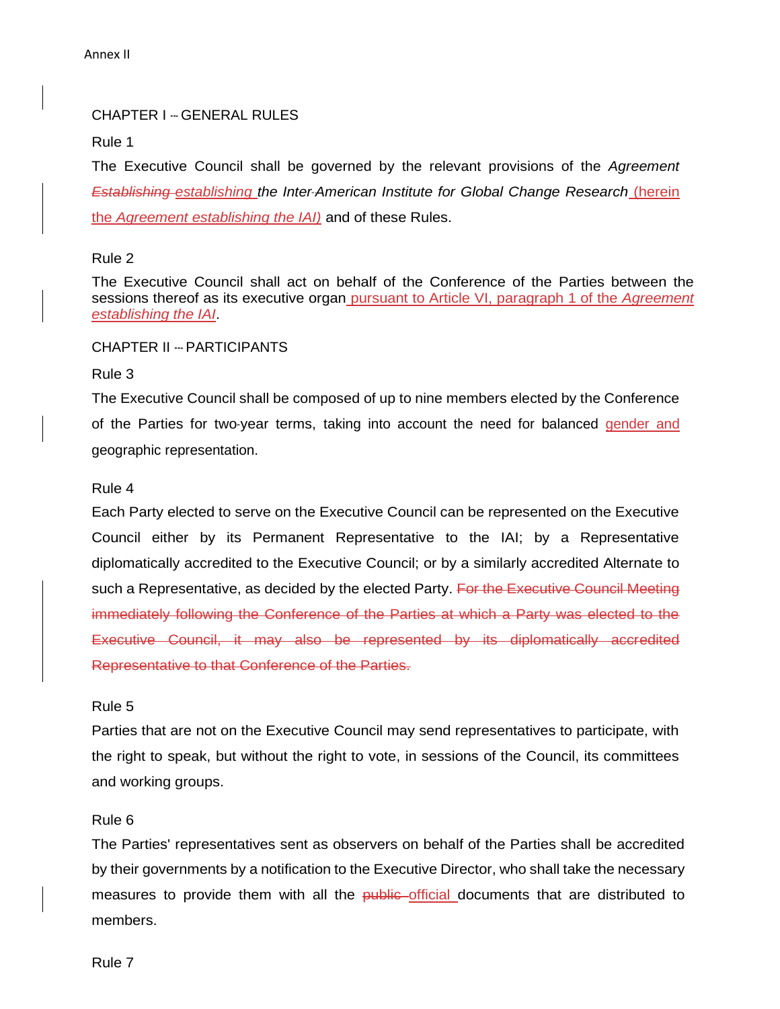# CHAPTER I -- GENERAL RULES

Rule 1

The Executive Council shall be governed by the relevant provisions of the *Agreement Establishing* establishing the Inter-American Institute for Global Change Research (herein) the *Agreement establishing the IAI)* and of these Rules.

# Rule 2

The Executive Council shall act on behalf of the Conference of the Parties between the sessions thereof as its executive organ pursuant to Article VI, paragraph 1 of the *Agreement establishing the IAI*.

# CHAPTER II --‐ PARTICIPANTS

# Rule 3

The Executive Council shall be composed of up to nine members elected by the Conference of the Parties for two-year terms, taking into account the need for balanced gender and geographic representation.

# Rule 4

Each Party elected to serve on the Executive Council can be represented on the Executive Council either by its Permanent Representative to the IAI; by a Representative diplomatically accredited to the Executive Council; or by a similarly accredited Alternate to such a Representative, as decided by the elected Party. For the Executive Council Meeting immediately following the Conference of the Parties at which a Party was elected to the Executive Council, it may also be represented by its diplomatically accredited Representative to that Conference of the Parties.

# Rule 5

Parties that are not on the Executive Council may send representatives to participate, with the right to speak, but without the right to vote, in sessions of the Council, its committees and working groups.

# Rule 6

The Parties' representatives sent as observers on behalf of the Parties shall be accredited by their governments by a notification to the Executive Director, who shall take the necessary measures to provide them with all the public official documents that are distributed to members.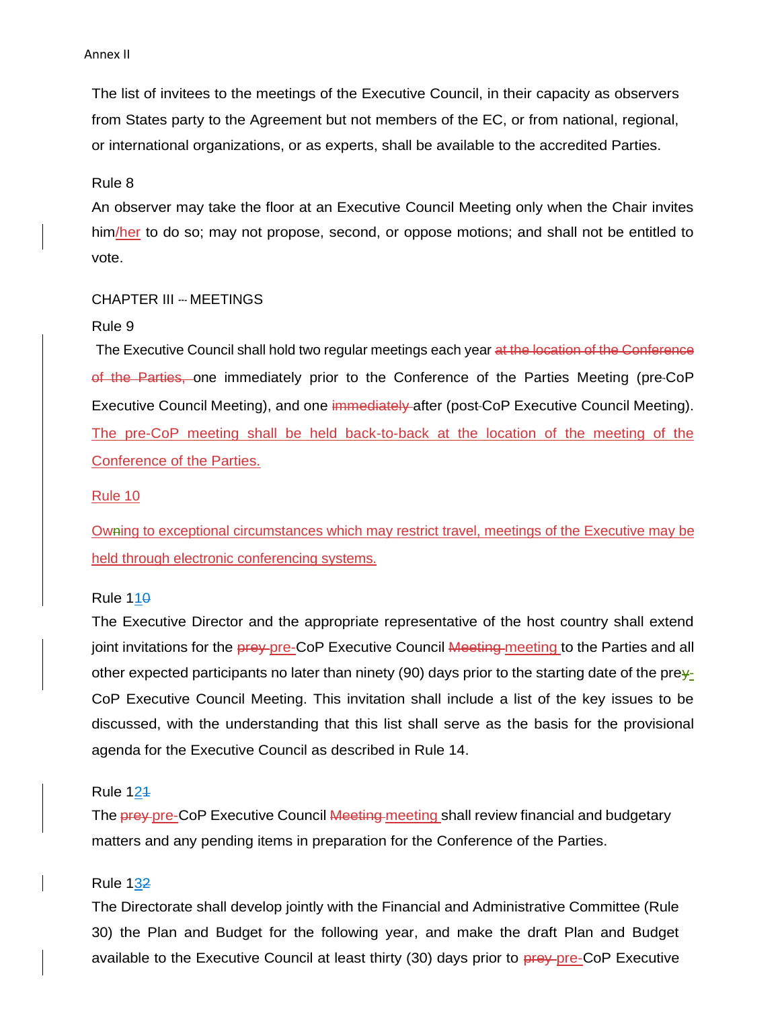The list of invitees to the meetings of the Executive Council, in their capacity as observers from States party to the Agreement but not members of the EC, or from national, regional, or international organizations, or as experts, shall be available to the accredited Parties.

Rule 8

An observer may take the floor at an Executive Council Meeting only when the Chair invites him/her to do so; may not propose, second, or oppose motions; and shall not be entitled to vote.

### CHAPTER III --‐ MEETINGS

#### Rule 9

The Executive Council shall hold two regular meetings each year at the location of the Conference of the Parties, one immediately prior to the Conference of the Parties Meeting (pre-CoP Executive Council Meeting), and one immediately after (post-CoP Executive Council Meeting). The pre-CoP meeting shall be held back-to-back at the location of the meeting of the Conference of the Parties.

#### Rule 10

Owning to exceptional circumstances which may restrict travel, meetings of the Executive may be held through electronic conferencing systems.

#### Rule  $110$

The Executive Director and the appropriate representative of the host country shall extend joint invitations for the **prey-pre-CoP Executive Council <del>Meeting</del>-meeting to the Parties and all** other expected participants no later than ninety (90) days prior to the starting date of the prey-CoP Executive Council Meeting. This invitation shall include a list of the key issues to be discussed, with the understanding that this list shall serve as the basis for the provisional agenda for the Executive Council as described in Rule 14.

# Rule 121

The **prey-pre-CoP Executive Council <del>Meeting</del>-meeting shall review financial and budgetary** matters and any pending items in preparation for the Conference of the Parties.

#### Rule 132

The Directorate shall develop jointly with the Financial and Administrative Committee (Rule 30) the Plan and Budget for the following year, and make the draft Plan and Budget available to the Executive Council at least thirty (30) days prior to prey pre-CoP Executive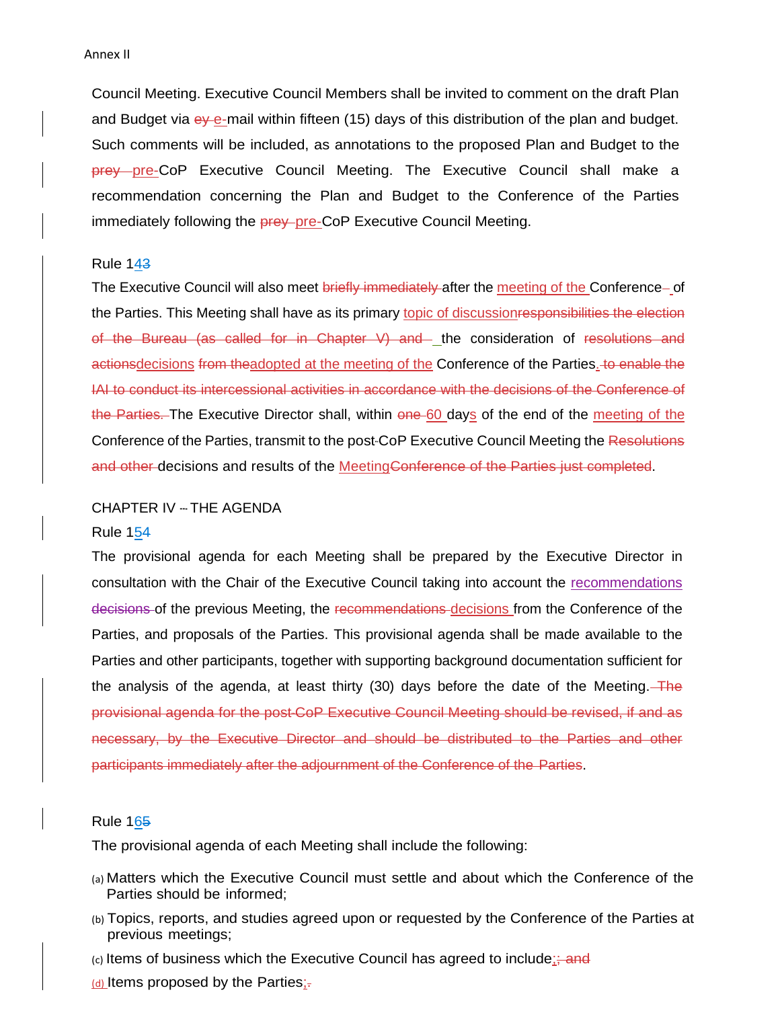Council Meeting. Executive Council Members shall be invited to comment on the draft Plan and Budget via ey e-mail within fifteen (15) days of this distribution of the plan and budget. Such comments will be included, as annotations to the proposed Plan and Budget to the prey pre-CoP Executive Council Meeting. The Executive Council shall make a recommendation concerning the Plan and Budget to the Conference of the Parties immediately following the **prey-pre-CoP** Executive Council Meeting.

#### Rule 143

The Executive Council will also meet briefly immediately after the meeting of the Conference-of the Parties. This Meeting shall have as its primary topic of discussion responsibilities the election of the Bureau (as called for in Chapter V) and the consideration of resolutions and actionsdecisions from theadopted at the meeting of the Conference of the Parties. to enable the IAI to conduct its intercessional activities in accordance with the decisions of the Conference of the Parties. The Executive Director shall, within one 60 days of the end of the meeting of the Conference of the Parties, transmit to the post-CoP Executive Council Meeting the Resolutions and other decisions and results of the MeetingConference of the Parties just completed.

#### CHAPTER IV -- THE AGENDA

#### Rule 154

The provisional agenda for each Meeting shall be prepared by the Executive Director in consultation with the Chair of the Executive Council taking into account the recommendations decisions of the previous Meeting, the recommendations decisions from the Conference of the Parties, and proposals of the Parties. This provisional agenda shall be made available to the Parties and other participants, together with supporting background documentation sufficient for the analysis of the agenda, at least thirty (30) days before the date of the Meeting. The provisional agenda for the post-CoP Executive Council Meeting should be revised, if and as necessary, by the Executive Director and should be distributed to the Parties and other participants immediately after the adjournment of the Conference of the Parties.

#### Rule 165

The provisional agenda of each Meeting shall include the following:

- (a) Matters which the Executive Council must settle and about which the Conference of the Parties should be informed;
- (b) Topics, reports, and studies agreed upon or requested by the Conference of the Parties at previous meetings;
- $(c)$  Items of business which the Executive Council has agreed to include; and
- $(d)$  Items proposed by the Parties;-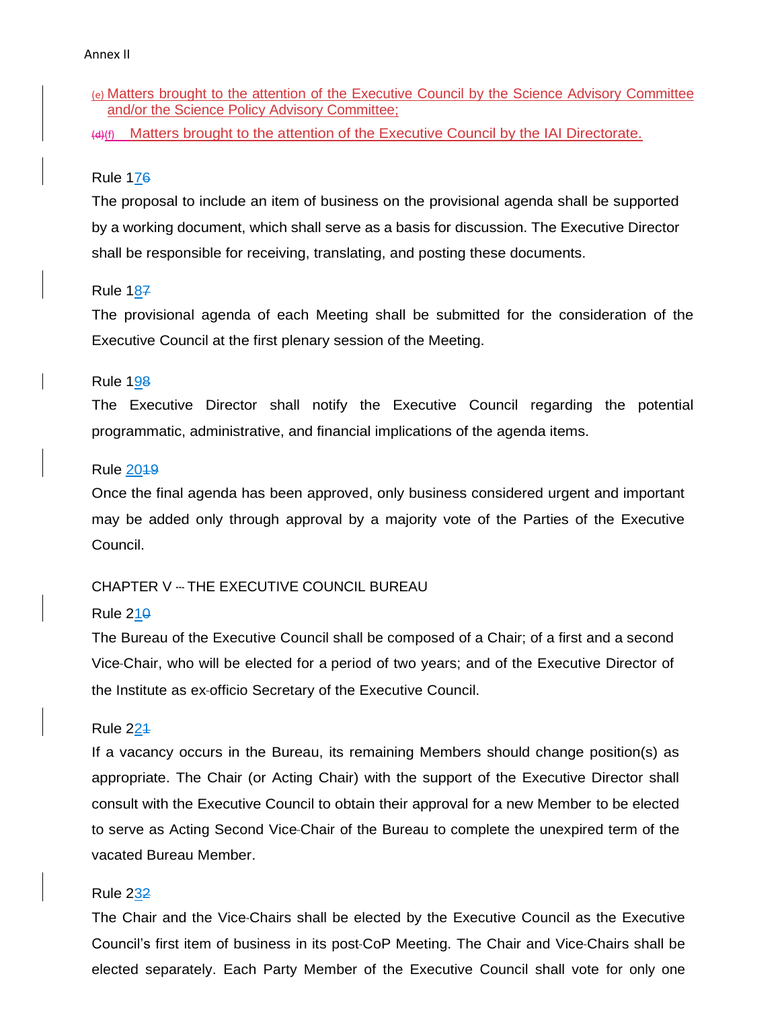(e) Matters brought to the attention of the Executive Council by the Science Advisory Committee and/or the Science Policy Advisory Committee;

 $(H)$  Matters brought to the attention of the Executive Council by the IAI Directorate.

# Rule 176

The proposal to include an item of business on the provisional agenda shall be supported by a working document, which shall serve as a basis for discussion. The Executive Director shall be responsible for receiving, translating, and posting these documents.

# Rule 187

The provisional agenda of each Meeting shall be submitted for the consideration of the Executive Council at the first plenary session of the Meeting.

# Rule 198

The Executive Director shall notify the Executive Council regarding the potential programmatic, administrative, and financial implications of the agenda items.

# Rule 2019

Once the final agenda has been approved, only business considered urgent and important may be added only through approval by a majority vote of the Parties of the Executive Council.

# CHAPTER V --- THE EXECUTIVE COUNCIL BUREAU

# Rule  $210$

The Bureau of the Executive Council shall be composed of a Chair; of a first and a second Vice-Chair, who will be elected for a period of two years; and of the Executive Director of the Institute as ex-officio Secretary of the Executive Council.

# Rule 221

If a vacancy occurs in the Bureau, its remaining Members should change position(s) as appropriate. The Chair (or Acting Chair) with the support of the Executive Director shall consult with the Executive Council to obtain their approval for a new Member to be elected to serve as Acting Second Vice-Chair of the Bureau to complete the unexpired term of the vacated Bureau Member.

# Rule 232

The Chair and the Vice-Chairs shall be elected by the Executive Council as the Executive Council's first item of business in its post-CoP Meeting. The Chair and Vice-Chairs shall be elected separately. Each Party Member of the Executive Council shall vote for only one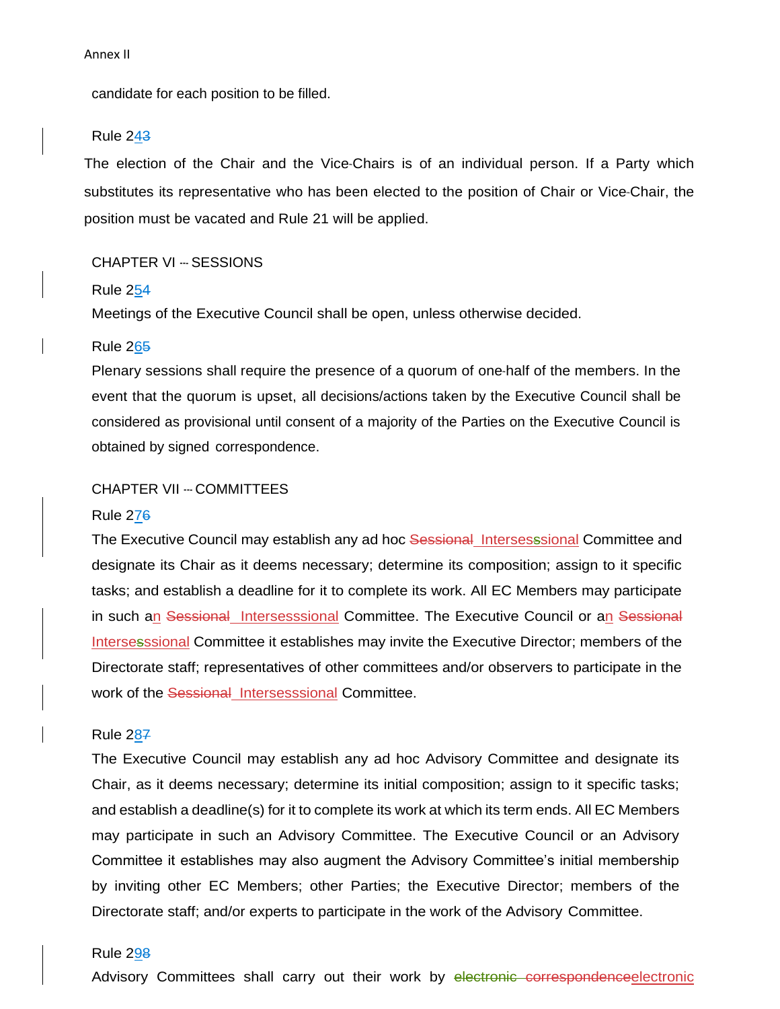candidate for each position to be filled.

#### Rule 243

The election of the Chair and the Vice-Chairs is of an individual person. If a Party which substitutes its representative who has been elected to the position of Chair or Vice-Chair, the position must be vacated and Rule 21 will be applied.

### CHAPTER VI -- SESSIONS

#### Rule 254

Meetings of the Executive Council shall be open, unless otherwise decided.

#### Rule 265

Plenary sessions shall require the presence of a quorum of one-half of the members. In the event that the quorum is upset, all decisions/actions taken by the Executive Council shall be considered as provisional until consent of a majority of the Parties on the Executive Council is obtained by signed correspondence.

# CHAPTER VII --- COMMITTEES

#### Rule 276

The Executive Council may establish any ad hoc Sessional Intersesssional Committee and designate its Chair as it deems necessary; determine its composition; assign to it specific tasks; and establish a deadline for it to complete its work. All EC Members may participate in such an Sessional Intersesssional Committee. The Executive Council or an Sessional Intersesssional Committee it establishes may invite the Executive Director; members of the Directorate staff; representatives of other committees and/or observers to participate in the work of the Sessional Intersesssional Committee.

### Rule 287

The Executive Council may establish any ad hoc Advisory Committee and designate its Chair, as it deems necessary; determine its initial composition; assign to it specific tasks; and establish a deadline(s) for it to complete its work at which its term ends. All EC Members may participate in such an Advisory Committee. The Executive Council or an Advisory Committee it establishes may also augment the Advisory Committee's initial membership by inviting other EC Members; other Parties; the Executive Director; members of the Directorate staff; and/or experts to participate in the work of the Advisory Committee.

# Rule 298

Advisory Committees shall carry out their work by electronic correspondenceelectronic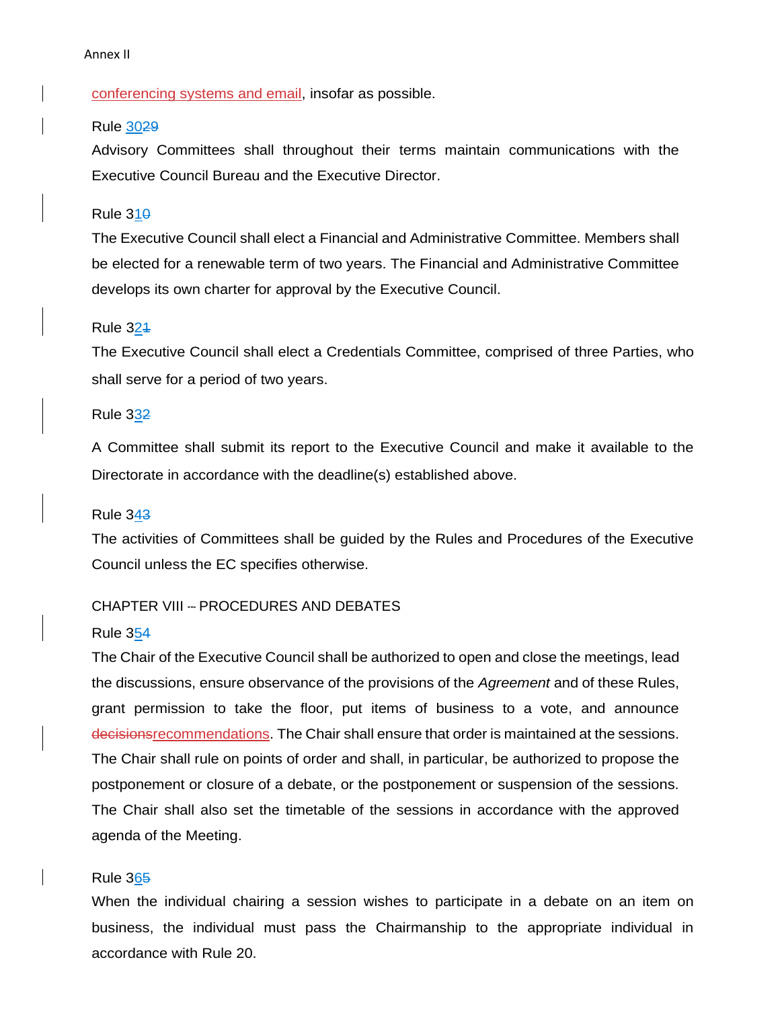# conferencing systems and email, insofar as possible.

# Rule 3029

Advisory Committees shall throughout their terms maintain communications with the Executive Council Bureau and the Executive Director.

#### Rule 310

The Executive Council shall elect a Financial and Administrative Committee. Members shall be elected for a renewable term of two years. The Financial and Administrative Committee develops its own charter for approval by the Executive Council.

### Rule 321

The Executive Council shall elect a Credentials Committee, comprised of three Parties, who shall serve for a period of two years.

# Rule 332

A Committee shall submit its report to the Executive Council and make it available to the Directorate in accordance with the deadline(s) established above.

#### Rule 343

The activities of Committees shall be guided by the Rules and Procedures of the Executive Council unless the EC specifies otherwise.

# CHAPTER VIII --- PROCEDURES AND DEBATES

#### Rule 354

The Chair of the Executive Council shall be authorized to open and close the meetings, lead the discussions, ensure observance of the provisions of the *Agreement* and of these Rules, grant permission to take the floor, put items of business to a vote, and announce decisionsrecommendations. The Chair shall ensure that order is maintained at the sessions. The Chair shall rule on points of order and shall, in particular, be authorized to propose the postponement or closure of a debate, or the postponement or suspension of the sessions. The Chair shall also set the timetable of the sessions in accordance with the approved agenda of the Meeting.

#### Rule 365

When the individual chairing a session wishes to participate in a debate on an item on business, the individual must pass the Chairmanship to the appropriate individual in accordance with Rule 20.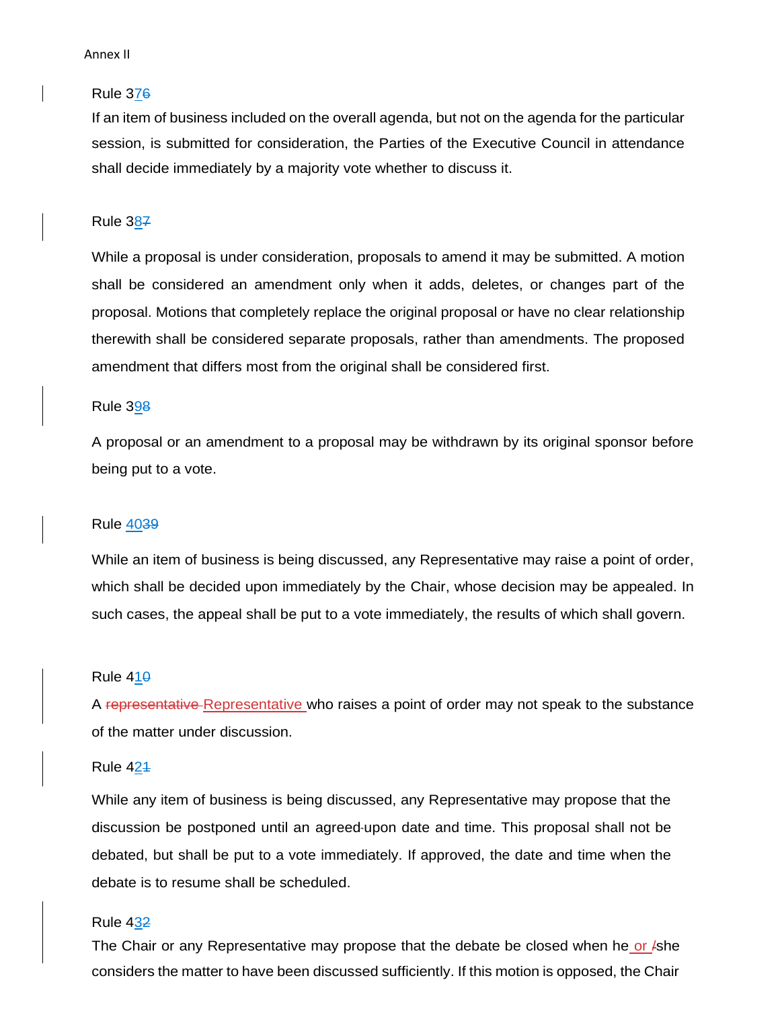#### Rule 376

If an item of business included on the overall agenda, but not on the agenda for the particular session, is submitted for consideration, the Parties of the Executive Council in attendance shall decide immediately by a majority vote whether to discuss it.

#### Rule 387

While a proposal is under consideration, proposals to amend it may be submitted. A motion shall be considered an amendment only when it adds, deletes, or changes part of the proposal. Motions that completely replace the original proposal or have no clear relationship therewith shall be considered separate proposals, rather than amendments. The proposed amendment that differs most from the original shall be considered first.

#### Rule 398

A proposal or an amendment to a proposal may be withdrawn by its original sponsor before being put to a vote.

#### Rule 4039

While an item of business is being discussed, any Representative may raise a point of order, which shall be decided upon immediately by the Chair, whose decision may be appealed. In such cases, the appeal shall be put to a vote immediately, the results of which shall govern.

#### Rule  $410$

A representative Representative who raises a point of order may not speak to the substance of the matter under discussion.

Rule 421

While any item of business is being discussed, any Representative may propose that the discussion be postponed until an agreed-upon date and time. This proposal shall not be debated, but shall be put to a vote immediately. If approved, the date and time when the debate is to resume shall be scheduled.

#### Rule 432

The Chair or any Representative may propose that the debate be closed when he or /she considers the matter to have been discussed sufficiently. If this motion is opposed, the Chair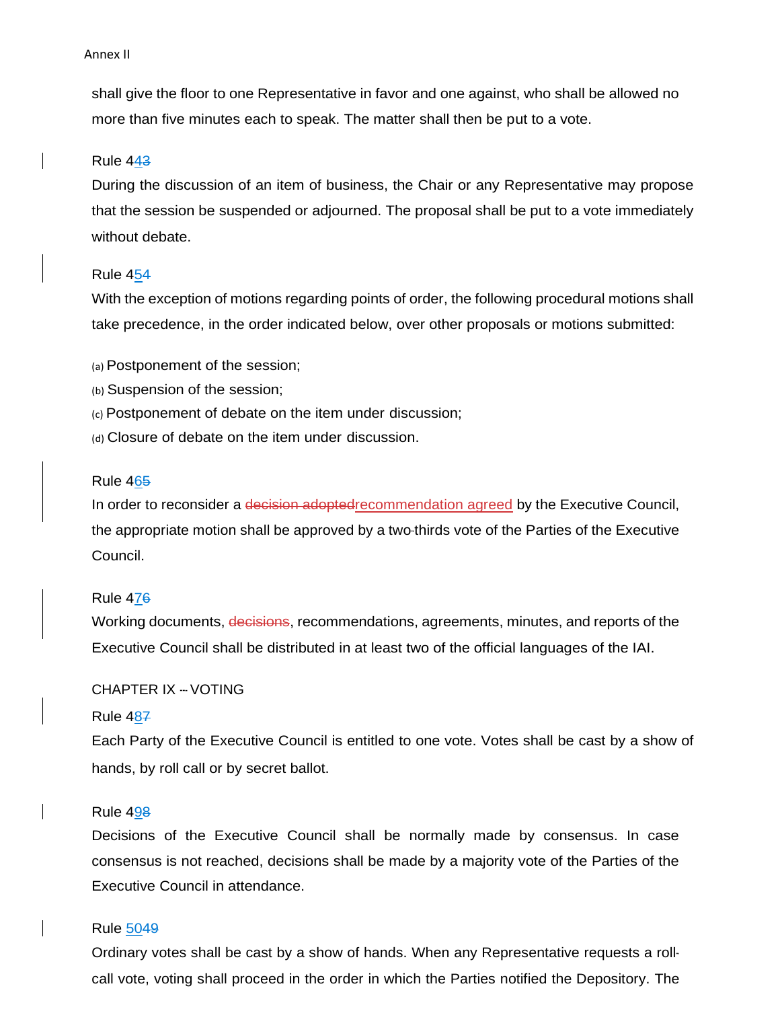shall give the floor to one Representative in favor and one against, who shall be allowed no more than five minutes each to speak. The matter shall then be put to a vote.

#### Rule 443

During the discussion of an item of business, the Chair or any Representative may propose that the session be suspended or adjourned. The proposal shall be put to a vote immediately without debate.

#### Rule 454

With the exception of motions regarding points of order, the following procedural motions shall take precedence, in the order indicated below, over other proposals or motions submitted:

- (a) Postponement of the session;
- (b) Suspension of the session;
- (c) Postponement of debate on the item under discussion;
- (d) Closure of debate on the item under discussion.

#### Rule 465

In order to reconsider a decision adopted recommendation agreed by the Executive Council, the appropriate motion shall be approved by a two-thirds vote of the Parties of the Executive Council.

#### Rule 476

Working documents, decisions, recommendations, agreements, minutes, and reports of the Executive Council shall be distributed in at least two of the official languages of the IAI.

# CHAPTER IX --‐ VOTING

#### Rule 487

Each Party of the Executive Council is entitled to one vote. Votes shall be cast by a show of hands, by roll call or by secret ballot.

# Rule 498

Decisions of the Executive Council shall be normally made by consensus. In case consensus is not reached, decisions shall be made by a majority vote of the Parties of the Executive Council in attendance.

### Rule 5049

Ordinary votes shall be cast by a show of hands. When any Representative requests a rollcall vote, voting shall proceed in the order in which the Parties notified the Depository. The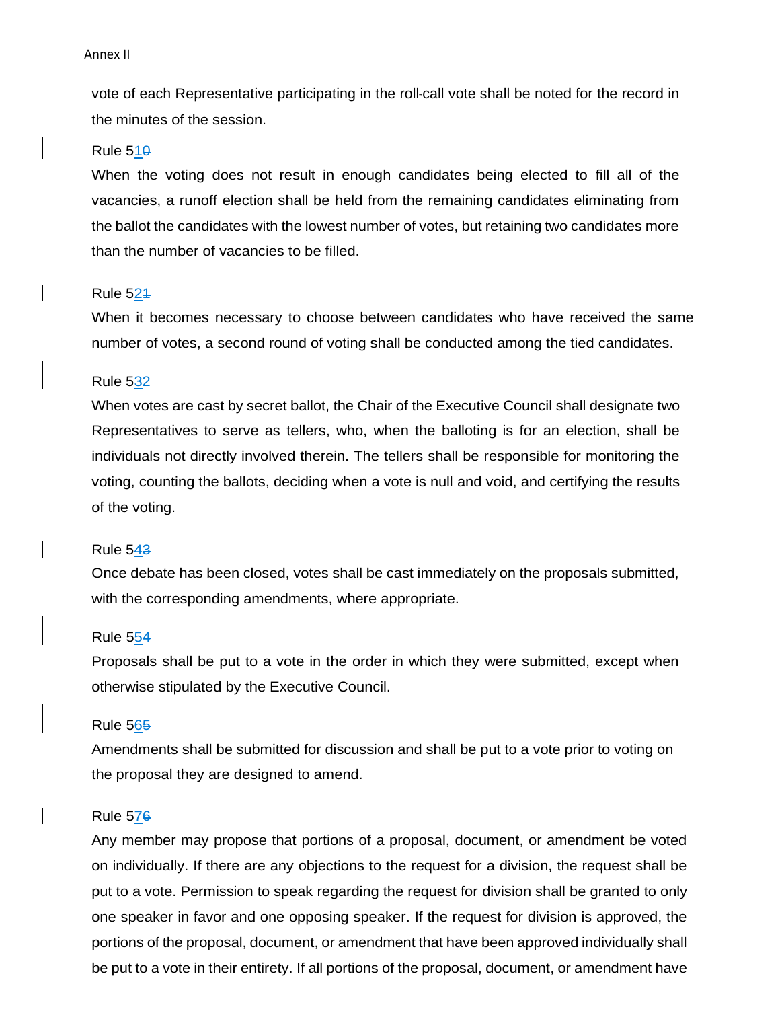vote of each Representative participating in the roll-call vote shall be noted for the record in the minutes of the session.

#### Rule  $510$

When the voting does not result in enough candidates being elected to fill all of the vacancies, a runoff election shall be held from the remaining candidates eliminating from the ballot the candidates with the lowest number of votes, but retaining two candidates more than the number of vacancies to be filled.

# Rule 521

When it becomes necessary to choose between candidates who have received the same number of votes, a second round of voting shall be conducted among the tied candidates.

#### Rule 532

When votes are cast by secret ballot, the Chair of the Executive Council shall designate two Representatives to serve as tellers, who, when the balloting is for an election, shall be individuals not directly involved therein. The tellers shall be responsible for monitoring the voting, counting the ballots, deciding when a vote is null and void, and certifying the results of the voting.

#### Rule 543

Once debate has been closed, votes shall be cast immediately on the proposals submitted, with the corresponding amendments, where appropriate.

### Rule 554

Proposals shall be put to a vote in the order in which they were submitted, except when otherwise stipulated by the Executive Council.

#### Rule 565

Amendments shall be submitted for discussion and shall be put to a vote prior to voting on the proposal they are designed to amend.

#### Rule 576

Any member may propose that portions of a proposal, document, or amendment be voted on individually. If there are any objections to the request for a division, the request shall be put to a vote. Permission to speak regarding the request for division shall be granted to only one speaker in favor and one opposing speaker. If the request for division is approved, the portions of the proposal, document, or amendment that have been approved individually shall be put to a vote in their entirety. If all portions of the proposal, document, or amendment have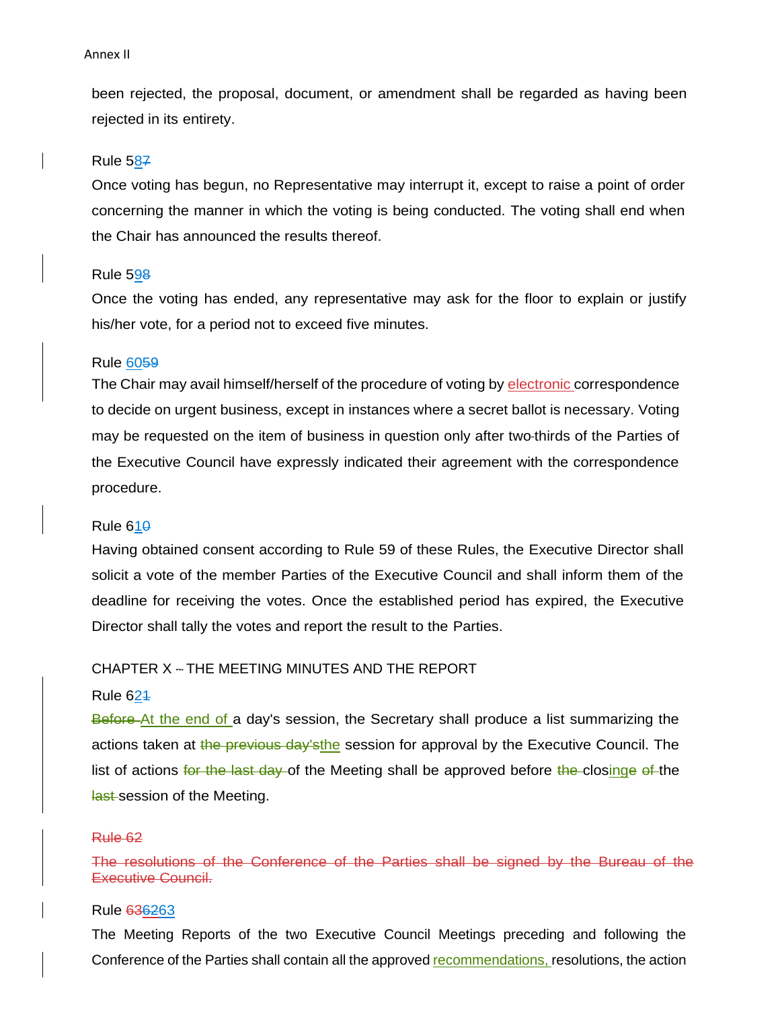been rejected, the proposal, document, or amendment shall be regarded as having been rejected in its entirety.

#### Rule 587

Once voting has begun, no Representative may interrupt it, except to raise a point of order concerning the manner in which the voting is being conducted. The voting shall end when the Chair has announced the results thereof.

#### Rule 598

Once the voting has ended, any representative may ask for the floor to explain or justify his/her vote, for a period not to exceed five minutes.

### Rule 6059

The Chair may avail himself/herself of the procedure of voting by electronic correspondence to decide on urgent business, except in instances where a secret ballot is necessary. Voting may be requested on the item of business in question only after two-thirds of the Parties of the Executive Council have expressly indicated their agreement with the correspondence procedure.

#### Rule  $610$

Having obtained consent according to Rule 59 of these Rules, the Executive Director shall solicit a vote of the member Parties of the Executive Council and shall inform them of the deadline for receiving the votes. Once the established period has expired, the Executive Director shall tally the votes and report the result to the Parties.

# CHAPTER X --- THE MEETING MINUTES AND THE REPORT

# Rule  $624$

Before At the end of a day's session, the Secretary shall produce a list summarizing the actions taken at the previous day's the session for approval by the Executive Council. The list of actions for the last day of the Meeting shall be approved before the closinge of the **last-session of the Meeting.** 

#### Rule 62

The resolutions of the Conference of the Parties shall be signed by the Bureau of the Executive Council.

### Rule 636263

The Meeting Reports of the two Executive Council Meetings preceding and following the Conference of the Parties shall contain all the approved recommendations, resolutions, the action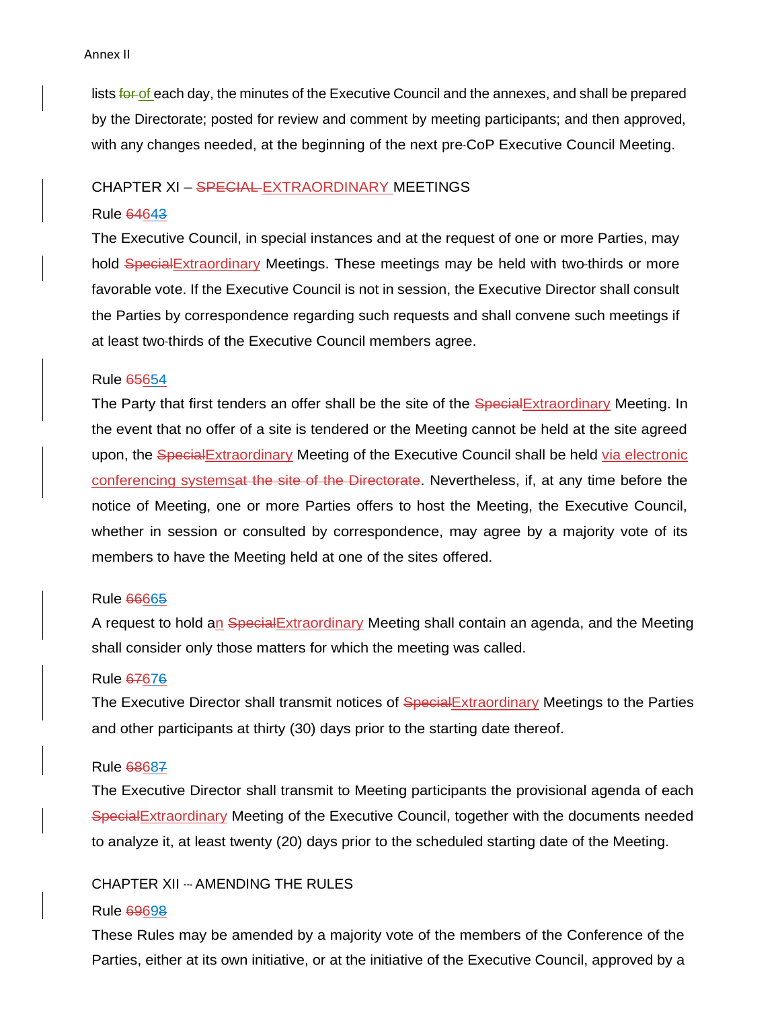lists for of each day, the minutes of the Executive Council and the annexes, and shall be prepared by the Directorate; posted for review and comment by meeting participants; and then approved, with any changes needed, at the beginning of the next pre-CoP Executive Council Meeting.

### CHAPTER XI – SPECIAL EXTRAORDINARY MEETINGS

# Rule 64643

The Executive Council, in special instances and at the request of one or more Parties, may hold Special Extraordinary Meetings. These meetings may be held with two-thirds or more favorable vote. If the Executive Council is not in session, the Executive Director shall consult the Parties by correspondence regarding such requests and shall convene such meetings if at least two-thirds of the Executive Council members agree.

# Rule 65654

The Party that first tenders an offer shall be the site of the SpecialExtraordinary Meeting. In the event that no offer of a site is tendered or the Meeting cannot be held at the site agreed upon, the Special Extraordinary Meeting of the Executive Council shall be held via electronic conferencing systemsat the site of the Directorate. Nevertheless, if, at any time before the notice of Meeting, one or more Parties offers to host the Meeting, the Executive Council, whether in session or consulted by correspondence, may agree by a majority vote of its members to have the Meeting held at one of the sites offered.

# Rule 66665

A request to hold an Special Extraordinary Meeting shall contain an agenda, and the Meeting shall consider only those matters for which the meeting was called.

# Rule 67676

The Executive Director shall transmit notices of SpecialExtraordinary Meetings to the Parties and other participants at thirty (30) days prior to the starting date thereof.

# Rule 68687

The Executive Director shall transmit to Meeting participants the provisional agenda of each SpecialExtraordinary Meeting of the Executive Council, together with the documents needed to analyze it, at least twenty (20) days prior to the scheduled starting date of the Meeting.

# CHAPTER XII --‐ AMENDING THE RULES

#### Rule 69698

These Rules may be amended by a majority vote of the members of the Conference of the Parties, either at its own initiative, or at the initiative of the Executive Council, approved by a